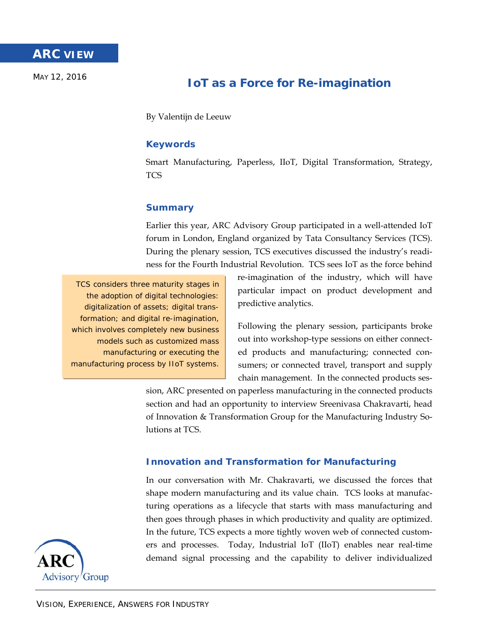# **ARC VIEW**

MAY 12, 2016

## **IoT as a Force for Re-imagination**

By Valentijn de Leeuw

### **Keywords**

Smart Manufacturing, Paperless, IIoT, Digital Transformation, Strategy, **TCS** 

#### **Summary**

Earlier this year, ARC Advisory Group participated in a well-attended IoT forum in London, England organized by Tata Consultancy Services (TCS). During the plenary session, TCS executives discussed the industry's readiness for the Fourth Industrial Revolution. TCS sees IoT as the force behind

TCS considers three maturity stages in the adoption of digital technologies: digitalization of assets; digital transformation; and digital re-imagination, which involves completely new business models such as customized mass manufacturing or executing the manufacturing process by IIoT systems.

re-imagination of the industry, which will have particular impact on product development and predictive analytics.

Following the plenary session, participants broke out into workshop-type sessions on either connected products and manufacturing; connected consumers; or connected travel, transport and supply chain management. In the connected products ses-

sion, ARC presented on paperless manufacturing in the connected products section and had an opportunity to interview Sreenivasa Chakravarti, head of Innovation & Transformation Group for the Manufacturing Industry Solutions at TCS.

#### **Innovation and Transformation for Manufacturing**

In our conversation with Mr. Chakravarti, we discussed the forces that shape modern manufacturing and its value chain. TCS looks at manufacturing operations as a lifecycle that starts with mass manufacturing and then goes through phases in which productivity and quality are optimized. In the future, TCS expects a more tightly woven web of connected customers and processes. Today, Industrial IoT (IIoT) enables near real-time demand signal processing and the capability to deliver individualized

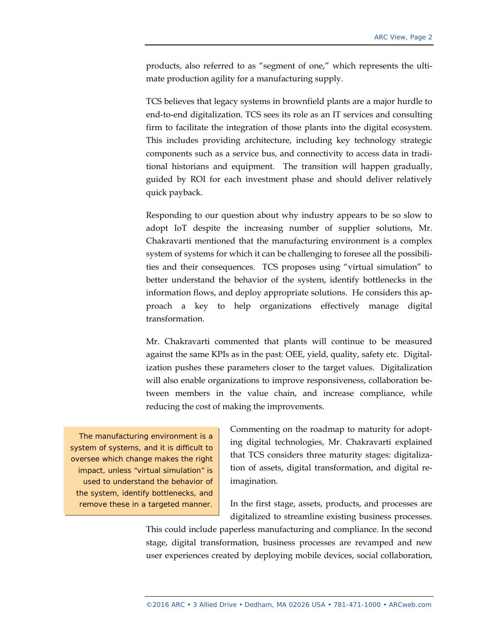products, also referred to as "segment of one," which represents the ultimate production agility for a manufacturing supply.

TCS believes that legacy systems in brownfield plants are a major hurdle to end-to-end digitalization. TCS sees its role as an IT services and consulting firm to facilitate the integration of those plants into the digital ecosystem. This includes providing architecture, including key technology strategic components such as a service bus, and connectivity to access data in traditional historians and equipment. The transition will happen gradually, guided by ROI for each investment phase and should deliver relatively quick payback.

Responding to our question about why industry appears to be so slow to adopt IoT despite the increasing number of supplier solutions, Mr. Chakravarti mentioned that the manufacturing environment is a complex system of systems for which it can be challenging to foresee all the possibilities and their consequences. TCS proposes using "virtual simulation" to better understand the behavior of the system, identify bottlenecks in the information flows, and deploy appropriate solutions. He considers this approach a key to help organizations effectively manage digital transformation.

Mr. Chakravarti commented that plants will continue to be measured against the same KPIs as in the past: OEE, yield, quality, safety etc. Digitalization pushes these parameters closer to the target values. Digitalization will also enable organizations to improve responsiveness, collaboration between members in the value chain, and increase compliance, while reducing the cost of making the improvements.

The manufacturing environment is a system of systems, and it is difficult to oversee which change makes the right impact, unless "virtual simulation" is used to understand the behavior of the system, identify bottlenecks, and remove these in a targeted manner.

Commenting on the roadmap to maturity for adopting digital technologies, Mr. Chakravarti explained that TCS considers three maturity stages: digitalization of assets, digital transformation, and digital reimagination.

In the first stage, assets, products, and processes are digitalized to streamline existing business processes.

This could include paperless manufacturing and compliance. In the second stage, digital transformation, business processes are revamped and new user experiences created by deploying mobile devices, social collaboration,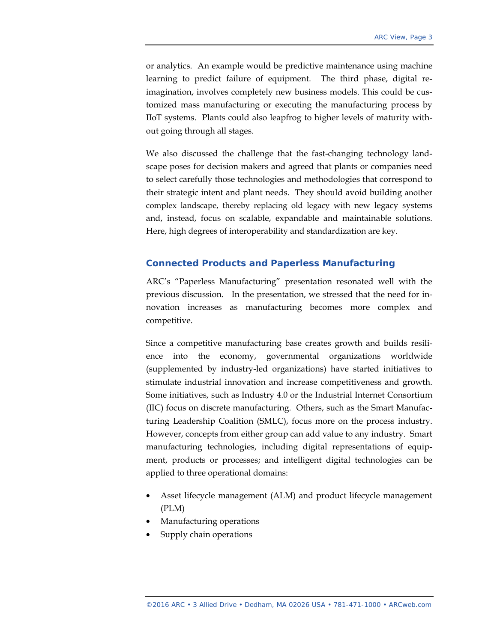or analytics. An example would be predictive maintenance using machine learning to predict failure of equipment. The third phase, digital reimagination, involves completely new business models. This could be customized mass manufacturing or executing the manufacturing process by IIoT systems. Plants could also leapfrog to higher levels of maturity without going through all stages.

We also discussed the challenge that the fast-changing technology landscape poses for decision makers and agreed that plants or companies need to select carefully those technologies and methodologies that correspond to their strategic intent and plant needs. They should avoid building another complex landscape, thereby replacing old legacy with new legacy systems and, instead, focus on scalable, expandable and maintainable solutions. Here, high degrees of interoperability and standardization are key.

#### **Connected Products and Paperless Manufacturing**

ARC's "Paperless Manufacturing" presentation resonated well with the previous discussion. In the presentation, we stressed that the need for innovation increases as manufacturing becomes more complex and competitive.

Since a competitive manufacturing base creates growth and builds resilience into the economy, governmental organizations worldwide (supplemented by industry-led organizations) have started initiatives to stimulate industrial innovation and increase competitiveness and growth. Some initiatives, such as Industry 4.0 or the Industrial Internet Consortium (IIC) focus on discrete manufacturing. Others, such as the Smart Manufacturing Leadership Coalition (SMLC), focus more on the process industry. However, concepts from either group can add value to any industry. Smart manufacturing technologies, including digital representations of equipment, products or processes; and intelligent digital technologies can be applied to three operational domains:

- Asset lifecycle management (ALM) and product lifecycle management (PLM)
- Manufacturing operations
- Supply chain operations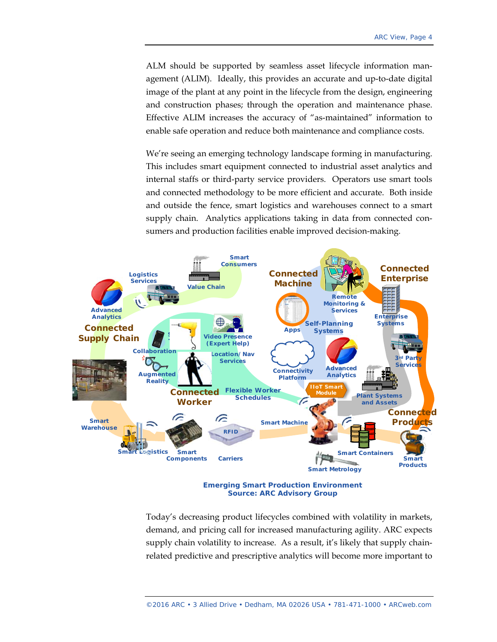ALM should be supported by seamless asset lifecycle information management (ALIM). Ideally, this provides an accurate and up-to-date digital image of the plant at any point in the lifecycle from the design, engineering and construction phases; through the operation and maintenance phase. Effective ALIM increases the accuracy of "as-maintained" information to enable safe operation and reduce both maintenance and compliance costs.

We're seeing an emerging technology landscape forming in manufacturing. This includes smart equipment connected to industrial asset analytics and internal staffs or third-party service providers. Operators use smart tools and connected methodology to be more efficient and accurate. Both inside and outside the fence, smart logistics and warehouses connect to a smart supply chain. Analytics applications taking in data from connected consumers and production facilities enable improved decision-making.



**Emerging Smart Production Environment Source: ARC Advisory Group** 

Today's decreasing product lifecycles combined with volatility in markets, demand, and pricing call for increased manufacturing agility. ARC expects supply chain volatility to increase. As a result, it's likely that supply chainrelated predictive and prescriptive analytics will become more important to